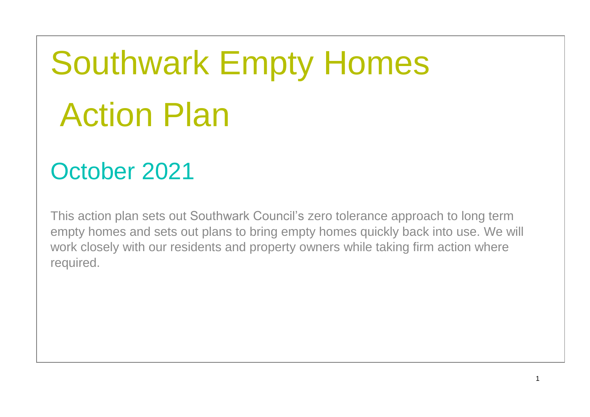# Southwark Empty Homes Action Plan

## October 2021

This action plan sets out Southwark Council's zero tolerance approach to long term empty homes and sets out plans to bring empty homes quickly back into use. We will work closely with our residents and property owners while taking firm action where required.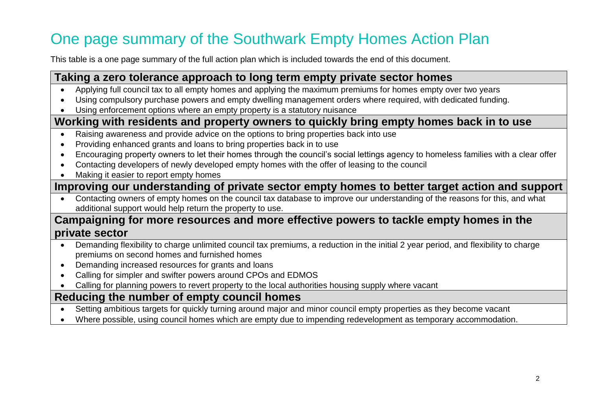## One page summary of the Southwark Empty Homes Action Plan

This table is a one page summary of the full action plan which is included towards the end of this document.

#### **Taking a zero tolerance approach to long term empty private sector homes**

- Applying full council tax to all empty homes and applying the maximum premiums for homes empty over two years
- Using compulsory purchase powers and empty dwelling management orders where required, with dedicated funding.
- Using enforcement options where an empty property is a statutory nuisance

#### **Working with residents and property owners to quickly bring empty homes back in to use**

- Raising awareness and provide advice on the options to bring properties back into use
- Providing enhanced grants and loans to bring properties back in to use
- Encouraging property owners to let their homes through the council's social lettings agency to homeless families with a clear offer
- Contacting developers of newly developed empty homes with the offer of leasing to the council
- Making it easier to report empty homes

#### **Improving our understanding of private sector empty homes to better target action and support**

• Contacting owners of empty homes on the council tax database to improve our understanding of the reasons for this, and what additional support would help return the property to use.

#### **Campaigning for more resources and more effective powers to tackle empty homes in the private sector**

- Demanding flexibility to charge unlimited council tax premiums, a reduction in the initial 2 year period, and flexibility to charge premiums on second homes and furnished homes
- Demanding increased resources for grants and loans
- Calling for simpler and swifter powers around CPOs and EDMOS
- Calling for planning powers to revert property to the local authorities housing supply where vacant

#### **Reducing the number of empty council homes**

- Setting ambitious targets for quickly turning around major and minor council empty properties as they become vacant
- Where possible, using council homes which are empty due to impending redevelopment as temporary accommodation.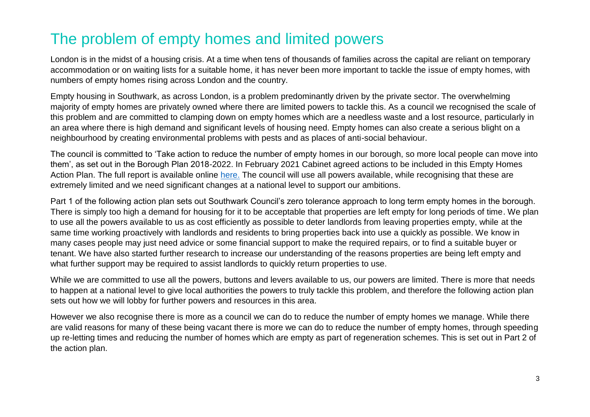#### The problem of empty homes and limited powers

London is in the midst of a housing crisis. At a time when tens of thousands of families across the capital are reliant on temporary accommodation or on waiting lists for a suitable home, it has never been more important to tackle the issue of empty homes, with numbers of empty homes rising across London and the country.

Empty housing in Southwark, as across London, is a problem predominantly driven by the private sector. The overwhelming majority of empty homes are privately owned where there are limited powers to tackle this. As a council we recognised the scale of this problem and are committed to clamping down on empty homes which are a needless waste and a lost resource, particularly in an area where there is high demand and significant levels of housing need. Empty homes can also create a serious blight on a neighbourhood by creating environmental problems with pests and as places of anti-social behaviour.

The council is committed to 'Take action to reduce the number of empty homes in our borough, so more local people can move into them', as set out in the Borough Plan 2018-2022. In February 2021 Cabinet agreed actions to be included in this Empty Homes Action Plan. The full report is available online [here.](https://moderngov.southwark.gov.uk/mgIssueHistoryHome.aspx?IId=50024809&PlanId=659) The council will use all powers available, while recognising that these are extremely limited and we need significant changes at a national level to support our ambitions.

Part 1 of the following action plan sets out Southwark Council's zero tolerance approach to long term empty homes in the borough. There is simply too high a demand for housing for it to be acceptable that properties are left empty for long periods of time. We plan to use all the powers available to us as cost efficiently as possible to deter landlords from leaving properties empty, while at the same time working proactively with landlords and residents to bring properties back into use a quickly as possible. We know in many cases people may just need advice or some financial support to make the required repairs, or to find a suitable buyer or tenant. We have also started further research to increase our understanding of the reasons properties are being left empty and what further support may be required to assist landlords to quickly return properties to use.

While we are committed to use all the powers, buttons and levers available to us, our powers are limited. There is more that needs to happen at a national level to give local authorities the powers to truly tackle this problem, and therefore the following action plan sets out how we will lobby for further powers and resources in this area.

However we also recognise there is more as a council we can do to reduce the number of empty homes we manage. While there are valid reasons for many of these being vacant there is more we can do to reduce the number of empty homes, through speeding up re-letting times and reducing the number of homes which are empty as part of regeneration schemes. This is set out in Part 2 of the action plan.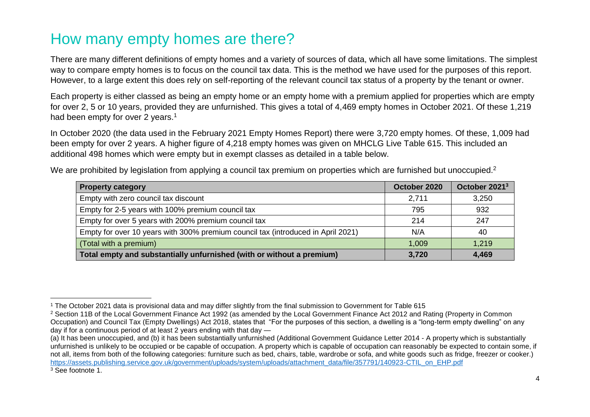#### How many empty homes are there?

There are many different definitions of empty homes and a variety of sources of data, which all have some limitations. The simplest way to compare empty homes is to focus on the council tax data. This is the method we have used for the purposes of this report. However, to a large extent this does rely on self-reporting of the relevant council tax status of a property by the tenant or owner.

Each property is either classed as being an empty home or an empty home with a premium applied for properties which are empty for over 2, 5 or 10 years, provided they are unfurnished. This gives a total of 4,469 empty homes in October 2021. Of these 1,219 had been empty for over 2 years.<sup>1</sup>

In October 2020 (the data used in the February 2021 Empty Homes Report) there were 3,720 empty homes. Of these, 1,009 had been empty for over 2 years. A higher figure of 4,218 empty homes was given on MHCLG Live Table 615. This included an additional 498 homes which were empty but in exempt classes as detailed in a table below.

We are prohibited by legislation from applying a council tax premium on properties which are furnished but unoccupied.<sup>2</sup>

| <b>Property category</b>                                                         | October 2020 | October 2021 <sup>3</sup> |
|----------------------------------------------------------------------------------|--------------|---------------------------|
| Empty with zero council tax discount                                             | 2,711        | 3,250                     |
| Empty for 2-5 years with 100% premium council tax                                | 795          | 932                       |
| Empty for over 5 years with 200% premium council tax                             | 214          | 247                       |
| Empty for over 10 years with 300% premium council tax (introduced in April 2021) | N/A          | 40                        |
| (Total with a premium)                                                           | 1,009        | 1,219                     |
| Total empty and substantially unfurnished (with or without a premium)            | 3,720        | 4,469                     |

 $\overline{a}$ <sup>1</sup> The October 2021 data is provisional data and may differ slightly from the final submission to Government for Table 615

<sup>&</sup>lt;sup>2</sup> Section 11B of the Local Government Finance Act 1992 (as amended by the Local Government Finance Act 2012 and Rating (Property in Common Occupation) and Council Tax (Empty Dwellings) Act 2018, states that "For the purposes of this section, a dwelling is a "long-term empty dwelling" on any day if for a continuous period of at least 2 years ending with that day —

<sup>(</sup>a) It has been unoccupied, and (b) it has been substantially unfurnished (Additional Government Guidance Letter 2014 - A property which is substantially unfurnished is unlikely to be occupied or be capable of occupation. A property which is capable of occupation can reasonably be expected to contain some, if not all, items from both of the following categories: furniture such as bed, chairs, table, wardrobe or sofa, and white goods such as fridge, freezer or cooker.) [https://assets.publishing.service.gov.uk/government/uploads/system/uploads/attachment\\_data/file/357791/140923-CTIL\\_on\\_EHP.pdf](https://assets.publishing.service.gov.uk/government/uploads/system/uploads/attachment_data/file/357791/140923-CTIL_on_EHP.pdf) <sup>3</sup> See footnote 1.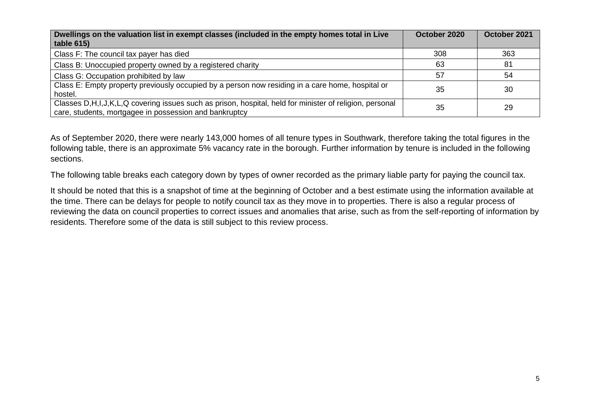| Dwellings on the valuation list in exempt classes (included in the empty homes total in Live<br>table 615)                                                              | October 2020 | October 2021 |
|-------------------------------------------------------------------------------------------------------------------------------------------------------------------------|--------------|--------------|
| Class F: The council tax payer has died                                                                                                                                 | 308          | 363          |
| Class B: Unoccupied property owned by a registered charity                                                                                                              | 63           | 81           |
| Class G: Occupation prohibited by law                                                                                                                                   | 57           | 54           |
| Class E: Empty property previously occupied by a person now residing in a care home, hospital or<br>hostel.                                                             | 35           | 30           |
| Classes D, H, I, J, K, L, Q covering issues such as prison, hospital, held for minister of religion, personal<br>care, students, mortgagee in possession and bankruptcy | 35           | 29           |

As of September 2020, there were nearly 143,000 homes of all tenure types in Southwark, therefore taking the total figures in the following table, there is an approximate 5% vacancy rate in the borough. Further information by tenure is included in the following sections.

The following table breaks each category down by types of owner recorded as the primary liable party for paying the council tax.

It should be noted that this is a snapshot of time at the beginning of October and a best estimate using the information available at the time. There can be delays for people to notify council tax as they move in to properties. There is also a regular process of reviewing the data on council properties to correct issues and anomalies that arise, such as from the self-reporting of information by residents. Therefore some of the data is still subject to this review process.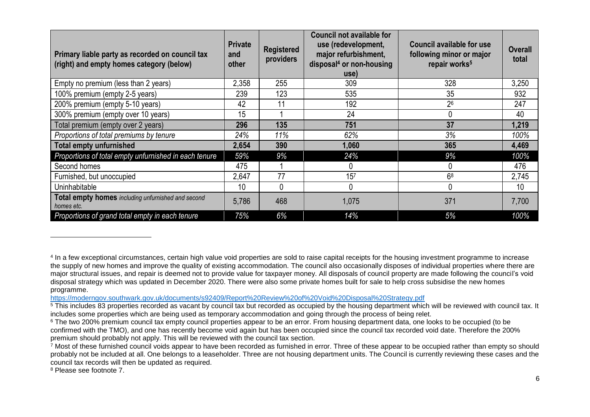| Primary liable party as recorded on council tax<br>(right) and empty homes category (below) | <b>Private</b><br>and<br>other | <b>Registered</b><br>providers | <b>Council not available for</b><br>use (redevelopment,<br>major refurbishment,<br>disposal <sup>4</sup> or non-housing<br>use) | <b>Council available for use</b><br>following minor or major<br>repair works <sup>5</sup> | <b>Overall</b><br>total |
|---------------------------------------------------------------------------------------------|--------------------------------|--------------------------------|---------------------------------------------------------------------------------------------------------------------------------|-------------------------------------------------------------------------------------------|-------------------------|
| Empty no premium (less than 2 years)                                                        | 2,358                          | 255                            | 309                                                                                                                             | 328                                                                                       | 3,250                   |
| 100% premium (empty 2-5 years)                                                              | 239                            | 123                            | 535                                                                                                                             | 35                                                                                        | 932                     |
| 200% premium (empty 5-10 years)                                                             | 42                             | 11                             | 192                                                                                                                             | 26                                                                                        | 247                     |
| 300% premium (empty over 10 years)                                                          | 15                             |                                | 24                                                                                                                              |                                                                                           | 40                      |
| Total premium (empty over 2 years)                                                          | 296                            | 135                            | 751                                                                                                                             | 37                                                                                        | 1,219                   |
| Proportions of total premiums by tenure                                                     | 24%                            | 11%                            | 62%                                                                                                                             | 3%                                                                                        | 100%                    |
| <b>Total empty unfurnished</b>                                                              | 2,654                          | 390                            | 1,060                                                                                                                           | 365                                                                                       | 4,469                   |
| Proportions of total empty unfurnished in each tenure                                       | 59%                            | 9%                             | 24%                                                                                                                             | 9%                                                                                        | 100%                    |
| Second homes                                                                                | 475                            |                                |                                                                                                                                 | 0                                                                                         | 476                     |
| Furnished, but unoccupied                                                                   | 2,647                          | 77                             | 15 <sup>7</sup>                                                                                                                 | 6 <sup>8</sup>                                                                            | 2,745                   |
| Uninhabitable                                                                               | 10                             | 0                              | 0                                                                                                                               | $\mathbf{0}$                                                                              | 10                      |
| Total empty homes including unfurnished and second<br>homes etc.                            | 5,786                          | 468                            | 1,075                                                                                                                           | 371                                                                                       | 7,700                   |
| Proportions of grand total empty in each tenure                                             | 75%                            | 6%                             | 14%                                                                                                                             | 5%                                                                                        | 100%                    |

<https://moderngov.southwark.gov.uk/documents/s92409/Report%20Review%20of%20Void%20Disposal%20Strategy.pdf>

<sup>8</sup> Please see footnote 7.

<sup>4</sup> In a few exceptional circumstances, certain high value void properties are sold to raise capital receipts for the housing investment programme to increase the supply of new homes and improve the quality of existing accommodation. The council also occasionally disposes of individual properties where there are major structural issues, and repair is deemed not to provide value for taxpayer money. All disposals of council property are made following the council's void disposal strategy which was updated in December 2020. There were also some private homes built for sale to help cross subsidise the new homes programme.

 $\frac{5}{2}$  This includes 83 properties recorded as vacant by council tax but recorded as occupied by the housing department which will be reviewed with council tax. It includes some properties which are being used as temporary accommodation and going through the process of being relet.

<sup>&</sup>lt;sup>6</sup> The two 200% premium council tax empty council properties appear to be an error. From housing department data, one looks to be occupied (to be confirmed with the TMO), and one has recently become void again but has been occupied since the council tax recorded void date. Therefore the 200% premium should probably not apply. This will be reviewed with the council tax section.

 $^7$  Most of these furnished council voids appear to have been recorded as furnished in error. Three of these appear to be occupied rather than empty so should probably not be included at all. One belongs to a leaseholder. Three are not housing department units. The Council is currently reviewing these cases and the council tax records will then be updated as required.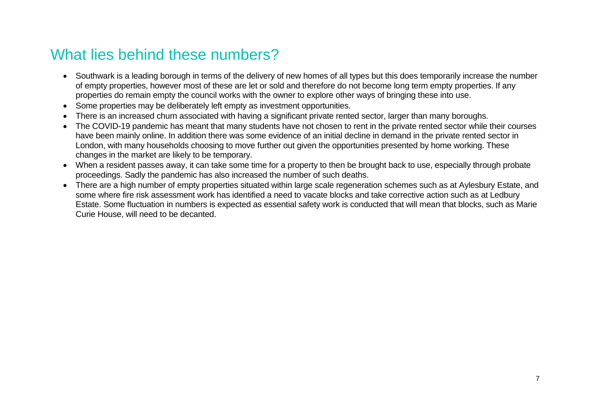#### What lies behind these numbers?

- Southwark is a leading borough in terms of the delivery of new homes of all types but this does temporarily increase the number of empty properties, however most of these are let or sold and therefore do not become long term empty properties. If any properties do remain empty the council works with the owner to explore other ways of bringing these into use.
- Some properties may be deliberately left empty as investment opportunities.
- There is an increased churn associated with having a significant private rented sector, larger than many boroughs.
- The COVID-19 pandemic has meant that many students have not chosen to rent in the private rented sector while their courses have been mainly online. In addition there was some evidence of an initial decline in demand in the private rented sector in London, with many households choosing to move further out given the opportunities presented by home working. These changes in the market are likely to be temporary.
- When a resident passes away, it can take some time for a property to then be brought back to use, especially through probate proceedings. Sadly the pandemic has also increased the number of such deaths.
- There are a high number of empty properties situated within large scale regeneration schemes such as at Aylesbury Estate, and some where fire risk assessment work has identified a need to vacate blocks and take corrective action such as at Ledbury Estate. Some fluctuation in numbers is expected as essential safety work is conducted that will mean that blocks, such as Marie Curie House, will need to be decanted.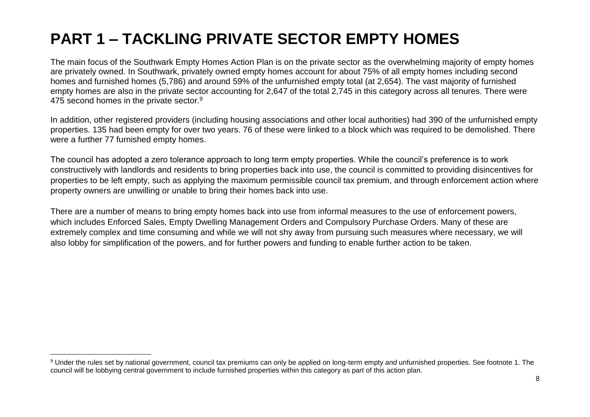## **PART 1 – TACKLING PRIVATE SECTOR EMPTY HOMES**

The main focus of the Southwark Empty Homes Action Plan is on the private sector as the overwhelming majority of empty homes are privately owned. In Southwark, privately owned empty homes account for about 75% of all empty homes including second homes and furnished homes (5,786) and around 59% of the unfurnished empty total (at 2,654). The vast majority of furnished empty homes are also in the private sector accounting for 2,647 of the total 2,745 in this category across all tenures. There were 475 second homes in the private sector.<sup>9</sup>

In addition, other registered providers (including housing associations and other local authorities) had 390 of the unfurnished empty properties. 135 had been empty for over two years. 76 of these were linked to a block which was required to be demolished. There were a further 77 furnished empty homes.

The council has adopted a zero tolerance approach to long term empty properties. While the council's preference is to work constructively with landlords and residents to bring properties back into use, the council is committed to providing disincentives for properties to be left empty, such as applying the maximum permissible council tax premium, and through enforcement action where property owners are unwilling or unable to bring their homes back into use.

There are a number of means to bring empty homes back into use from informal measures to the use of enforcement powers, which includes Enforced Sales, Empty Dwelling Management Orders and Compulsory Purchase Orders. Many of these are extremely complex and time consuming and while we will not shy away from pursuing such measures where necessary, we will also lobby for simplification of the powers, and for further powers and funding to enable further action to be taken.

<sup>9</sup> Under the rules set by national government, council tax premiums can only be applied on long-term empty *and* unfurnished properties. See footnote 1. The council will be lobbying central government to include furnished properties within this category as part of this action plan.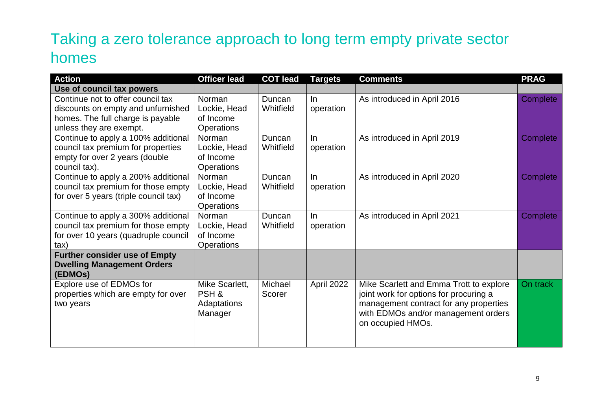## Taking a zero tolerance approach to long term empty private sector homes

| <b>Action</b>                         | <b>Officer lead</b> | <b>COT lead</b> | <b>Targets</b> | <b>Comments</b>                         | <b>PRAG</b> |
|---------------------------------------|---------------------|-----------------|----------------|-----------------------------------------|-------------|
| Use of council tax powers             |                     |                 |                |                                         |             |
| Continue not to offer council tax     | Norman              | Duncan          | In.            | As introduced in April 2016             | Complete    |
| discounts on empty and unfurnished    | Lockie, Head        | Whitfield       | operation      |                                         |             |
| homes. The full charge is payable     | of Income           |                 |                |                                         |             |
| unless they are exempt.               | <b>Operations</b>   |                 |                |                                         |             |
| Continue to apply a 100% additional   | <b>Norman</b>       | Duncan          | In.            | As introduced in April 2019             | Complete    |
| council tax premium for properties    | Lockie, Head        | Whitfield       | operation      |                                         |             |
| empty for over 2 years (double        | of Income           |                 |                |                                         |             |
| council tax).                         | <b>Operations</b>   |                 |                |                                         |             |
| Continue to apply a 200% additional   | Norman              | Duncan          | $\ln$          | As introduced in April 2020             | Complete    |
| council tax premium for those empty   | Lockie, Head        | Whitfield       | operation      |                                         |             |
| for over 5 years (triple council tax) | of Income           |                 |                |                                         |             |
|                                       | <b>Operations</b>   |                 |                |                                         |             |
| Continue to apply a 300% additional   | Norman              | Duncan          | In.            | As introduced in April 2021             | Complete    |
| council tax premium for those empty   | Lockie, Head        | Whitfield       | operation      |                                         |             |
| for over 10 years (quadruple council  | of Income           |                 |                |                                         |             |
| tax)                                  | <b>Operations</b>   |                 |                |                                         |             |
| <b>Further consider use of Empty</b>  |                     |                 |                |                                         |             |
| <b>Dwelling Management Orders</b>     |                     |                 |                |                                         |             |
| (EDMOs)                               |                     |                 |                |                                         |             |
| Explore use of EDMOs for              | Mike Scarlett,      | Michael         | April 2022     | Mike Scarlett and Emma Trott to explore | On track    |
| properties which are empty for over   | PSH&                | Scorer          |                | joint work for options for procuring a  |             |
| two years                             | Adaptations         |                 |                | management contract for any properties  |             |
|                                       | Manager             |                 |                | with EDMOs and/or management orders     |             |
|                                       |                     |                 |                | on occupied HMOs.                       |             |
|                                       |                     |                 |                |                                         |             |
|                                       |                     |                 |                |                                         |             |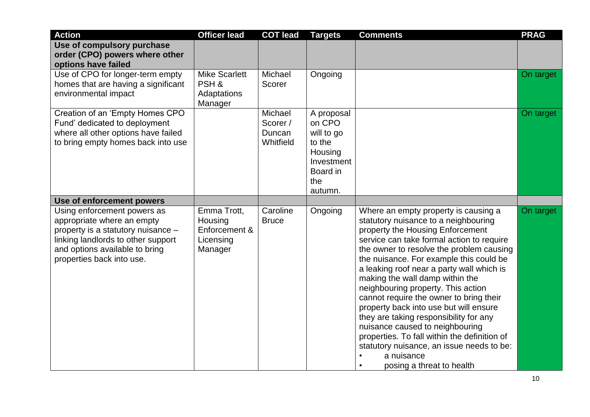| <b>Action</b>                                                                                                                                                                                        | <b>Officer lead</b>                                             | <b>COT lead</b>                            | <b>Targets</b>                                                                                      | <b>Comments</b>                                                                                                                                                                                                                                                                                                                                                                                                                                                                                                                                                                                                                                                                                                | <b>PRAG</b> |
|------------------------------------------------------------------------------------------------------------------------------------------------------------------------------------------------------|-----------------------------------------------------------------|--------------------------------------------|-----------------------------------------------------------------------------------------------------|----------------------------------------------------------------------------------------------------------------------------------------------------------------------------------------------------------------------------------------------------------------------------------------------------------------------------------------------------------------------------------------------------------------------------------------------------------------------------------------------------------------------------------------------------------------------------------------------------------------------------------------------------------------------------------------------------------------|-------------|
| Use of compulsory purchase<br>order (CPO) powers where other<br>options have failed                                                                                                                  |                                                                 |                                            |                                                                                                     |                                                                                                                                                                                                                                                                                                                                                                                                                                                                                                                                                                                                                                                                                                                |             |
| Use of CPO for longer-term empty<br>homes that are having a significant<br>environmental impact                                                                                                      | <b>Mike Scarlett</b><br>PSH&<br>Adaptations<br>Manager          | Michael<br>Scorer                          | Ongoing                                                                                             |                                                                                                                                                                                                                                                                                                                                                                                                                                                                                                                                                                                                                                                                                                                | On target   |
| Creation of an 'Empty Homes CPO<br>Fund' dedicated to deployment<br>where all other options have failed<br>to bring empty homes back into use                                                        |                                                                 | Michael<br>Scorer /<br>Duncan<br>Whitfield | A proposal<br>on CPO<br>will to go<br>to the<br>Housing<br>Investment<br>Board in<br>the<br>autumn. |                                                                                                                                                                                                                                                                                                                                                                                                                                                                                                                                                                                                                                                                                                                | On target   |
| Use of enforcement powers                                                                                                                                                                            |                                                                 |                                            |                                                                                                     |                                                                                                                                                                                                                                                                                                                                                                                                                                                                                                                                                                                                                                                                                                                |             |
| Using enforcement powers as<br>appropriate where an empty<br>property is a statutory nuisance -<br>linking landlords to other support<br>and options available to bring<br>properties back into use. | Emma Trott,<br>Housing<br>Enforcement &<br>Licensing<br>Manager | Caroline<br><b>Bruce</b>                   | Ongoing                                                                                             | Where an empty property is causing a<br>statutory nuisance to a neighbouring<br>property the Housing Enforcement<br>service can take formal action to require<br>the owner to resolve the problem causing<br>the nuisance. For example this could be<br>a leaking roof near a party wall which is<br>making the wall damp within the<br>neighbouring property. This action<br>cannot require the owner to bring their<br>property back into use but will ensure<br>they are taking responsibility for any<br>nuisance caused to neighbouring<br>properties. To fall within the definition of<br>statutory nuisance, an issue needs to be:<br>a nuisance<br>$\bullet$<br>posing a threat to health<br>$\bullet$ | On target   |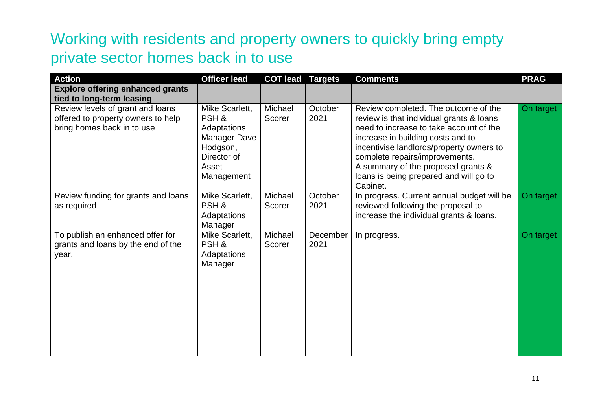### Working with residents and property owners to quickly bring empty private sector homes back in to use

| <b>Action</b>                                                                                        | <b>Officer lead</b>                                                                                     | <b>COT lead</b>   | <b>Targets</b>   | <b>Comments</b>                                                                                                                                                                                                                                                                                                                            | <b>PRAG</b> |
|------------------------------------------------------------------------------------------------------|---------------------------------------------------------------------------------------------------------|-------------------|------------------|--------------------------------------------------------------------------------------------------------------------------------------------------------------------------------------------------------------------------------------------------------------------------------------------------------------------------------------------|-------------|
| <b>Explore offering enhanced grants</b><br>tied to long-term leasing                                 |                                                                                                         |                   |                  |                                                                                                                                                                                                                                                                                                                                            |             |
| Review levels of grant and loans<br>offered to property owners to help<br>bring homes back in to use | Mike Scarlett,<br>PSH&<br>Adaptations<br>Manager Dave<br>Hodgson,<br>Director of<br>Asset<br>Management | Michael<br>Scorer | October<br>2021  | Review completed. The outcome of the<br>review is that individual grants & loans<br>need to increase to take account of the<br>increase in building costs and to<br>incentivise landlords/property owners to<br>complete repairs/improvements.<br>A summary of the proposed grants &<br>loans is being prepared and will go to<br>Cabinet. | On target   |
| Review funding for grants and loans<br>as required                                                   | Mike Scarlett,<br>PSH&<br>Adaptations<br>Manager                                                        | Michael<br>Scorer | October<br>2021  | In progress. Current annual budget will be<br>reviewed following the proposal to<br>increase the individual grants & loans.                                                                                                                                                                                                                | On target   |
| To publish an enhanced offer for<br>grants and loans by the end of the<br>year.                      | Mike Scarlett,<br>PSH &<br>Adaptations<br>Manager                                                       | Michael<br>Scorer | December<br>2021 | In progress.                                                                                                                                                                                                                                                                                                                               | On target   |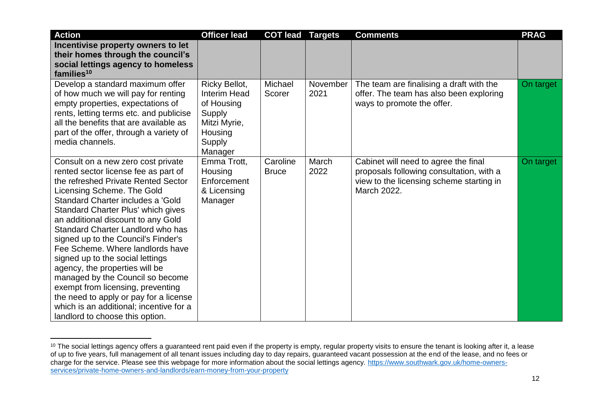| <b>Action</b>                                                                                                                                                                                                                                                                                                                                                                                                                                                                                                                                                                                                                                           | <b>Officer lead</b>                                                                                   | <b>COT lead</b>          | <b>Targets</b>   | <b>Comments</b>                                                                                                                             | <b>PRAG</b> |
|---------------------------------------------------------------------------------------------------------------------------------------------------------------------------------------------------------------------------------------------------------------------------------------------------------------------------------------------------------------------------------------------------------------------------------------------------------------------------------------------------------------------------------------------------------------------------------------------------------------------------------------------------------|-------------------------------------------------------------------------------------------------------|--------------------------|------------------|---------------------------------------------------------------------------------------------------------------------------------------------|-------------|
| Incentivise property owners to let                                                                                                                                                                                                                                                                                                                                                                                                                                                                                                                                                                                                                      |                                                                                                       |                          |                  |                                                                                                                                             |             |
| their homes through the council's<br>social lettings agency to homeless                                                                                                                                                                                                                                                                                                                                                                                                                                                                                                                                                                                 |                                                                                                       |                          |                  |                                                                                                                                             |             |
| families <sup>10</sup>                                                                                                                                                                                                                                                                                                                                                                                                                                                                                                                                                                                                                                  |                                                                                                       |                          |                  |                                                                                                                                             |             |
| Develop a standard maximum offer<br>of how much we will pay for renting<br>empty properties, expectations of<br>rents, letting terms etc. and publicise<br>all the benefits that are available as<br>part of the offer, through a variety of<br>media channels.                                                                                                                                                                                                                                                                                                                                                                                         | Ricky Bellot,<br>Interim Head<br>of Housing<br>Supply<br>Mitzi Myrie,<br>Housing<br>Supply<br>Manager | Michael<br>Scorer        | November<br>2021 | The team are finalising a draft with the<br>offer. The team has also been exploring<br>ways to promote the offer.                           | On target   |
| Consult on a new zero cost private<br>rented sector license fee as part of<br>the refreshed Private Rented Sector<br>Licensing Scheme. The Gold<br>Standard Charter includes a 'Gold<br>Standard Charter Plus' which gives<br>an additional discount to any Gold<br>Standard Charter Landlord who has<br>signed up to the Council's Finder's<br>Fee Scheme. Where landlords have<br>signed up to the social lettings<br>agency, the properties will be<br>managed by the Council so become<br>exempt from licensing, preventing<br>the need to apply or pay for a license<br>which is an additional; incentive for a<br>landlord to choose this option. | Emma Trott,<br>Housing<br>Enforcement<br>& Licensing<br>Manager                                       | Caroline<br><b>Bruce</b> | March<br>2022    | Cabinet will need to agree the final<br>proposals following consultation, with a<br>view to the licensing scheme starting in<br>March 2022. | On target   |

 $10$  The social lettings agency offers a guaranteed rent paid even if the property is empty, regular property visits to ensure the tenant is looking after it, a lease of up to five years, full management of all tenant issues including day to day repairs, guaranteed vacant possession at the end of the lease, and no fees or charge for the service. Please see this webpage for more information about the social lettings agency. [https://www.southwark.gov.uk/home-owners](https://www.southwark.gov.uk/home-owners-services/private-home-owners-and-landlords/earn-money-from-your-property)[services/private-home-owners-and-landlords/earn-money-from-your-property](https://www.southwark.gov.uk/home-owners-services/private-home-owners-and-landlords/earn-money-from-your-property)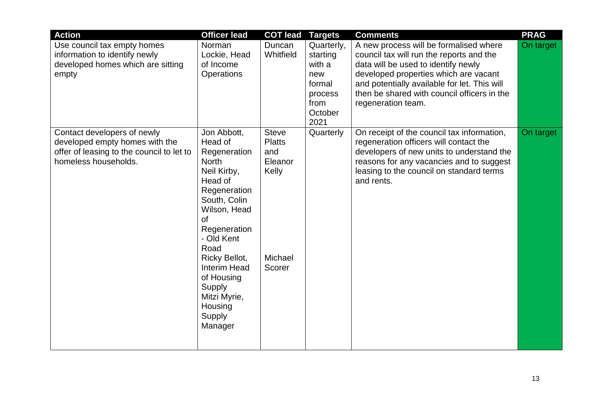| <b>Action</b><br>Use council tax empty homes<br>information to identify newly<br>developed homes which are sitting<br>empty        | <b>Officer lead</b><br>Norman<br>Lockie, Head<br>of Income<br>Operations                                                                                                                                                                                                                            | <b>COT lead</b><br>Duncan<br>Whitfield                                        | <b>Targets</b><br>Quarterly,<br>starting<br>with a<br>new<br>formal<br>process | <b>Comments</b><br>A new process will be formalised where<br>council tax will run the reports and the<br>data will be used to identify newly<br>developed properties which are vacant<br>and potentially available for let. This will<br>then be shared with council officers in the | <b>PRAG</b><br>On target |
|------------------------------------------------------------------------------------------------------------------------------------|-----------------------------------------------------------------------------------------------------------------------------------------------------------------------------------------------------------------------------------------------------------------------------------------------------|-------------------------------------------------------------------------------|--------------------------------------------------------------------------------|--------------------------------------------------------------------------------------------------------------------------------------------------------------------------------------------------------------------------------------------------------------------------------------|--------------------------|
| Contact developers of newly<br>developed empty homes with the<br>offer of leasing to the council to let to<br>homeless households. | Jon Abbott,<br>Head of<br>Regeneration<br><b>North</b><br>Neil Kirby,<br>Head of<br>Regeneration<br>South, Colin<br>Wilson, Head<br><b>of</b><br>Regeneration<br>- Old Kent<br>Road<br>Ricky Bellot,<br><b>Interim Head</b><br>of Housing<br>Supply<br>Mitzi Myrie,<br>Housing<br>Supply<br>Manager | <b>Steve</b><br><b>Platts</b><br>and<br>Eleanor<br>Kelly<br>Michael<br>Scorer | from<br>October<br>2021<br>Quarterly                                           | regeneration team.<br>On receipt of the council tax information,<br>regeneration officers will contact the<br>developers of new units to understand the<br>reasons for any vacancies and to suggest<br>leasing to the council on standard terms<br>and rents.                        | On target                |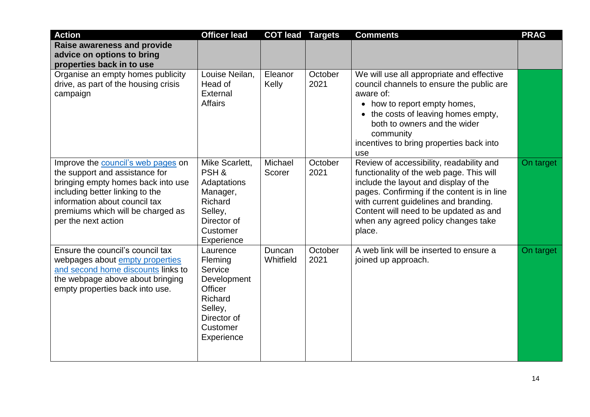| <b>Action</b>                                                                                                                                                                                                                              | <b>Officer lead</b>                                                                                                     | <b>COT lead</b>     | <b>Targets</b>  | <b>Comments</b>                                                                                                                                                                                                                                                                                                  | <b>PRAG</b> |
|--------------------------------------------------------------------------------------------------------------------------------------------------------------------------------------------------------------------------------------------|-------------------------------------------------------------------------------------------------------------------------|---------------------|-----------------|------------------------------------------------------------------------------------------------------------------------------------------------------------------------------------------------------------------------------------------------------------------------------------------------------------------|-------------|
| <b>Raise awareness and provide</b><br>advice on options to bring<br>properties back in to use                                                                                                                                              |                                                                                                                         |                     |                 |                                                                                                                                                                                                                                                                                                                  |             |
| Organise an empty homes publicity<br>drive, as part of the housing crisis<br>campaign                                                                                                                                                      | Louise Neilan,<br>Head of<br>External<br><b>Affairs</b>                                                                 | Eleanor<br>Kelly    | October<br>2021 | We will use all appropriate and effective<br>council channels to ensure the public are<br>aware of:<br>• how to report empty homes,<br>• the costs of leaving homes empty,<br>both to owners and the wider<br>community<br>incentives to bring properties back into<br>use                                       |             |
| Improve the council's web pages on<br>the support and assistance for<br>bringing empty homes back into use<br>including better linking to the<br>information about council tax<br>premiums which will be charged as<br>per the next action | Mike Scarlett,<br>PSH&<br>Adaptations<br>Manager,<br>Richard<br>Selley,<br>Director of<br>Customer<br>Experience        | Michael<br>Scorer   | October<br>2021 | Review of accessibility, readability and<br>functionality of the web page. This will<br>include the layout and display of the<br>pages. Confirming if the content is in line<br>with current guidelines and branding.<br>Content will need to be updated as and<br>when any agreed policy changes take<br>place. | On target   |
| Ensure the council's council tax<br>webpages about empty properties<br>and second home discounts links to<br>the webpage above about bringing<br>empty properties back into use.                                                           | Laurence<br>Fleming<br>Service<br>Development<br>Officer<br>Richard<br>Selley,<br>Director of<br>Customer<br>Experience | Duncan<br>Whitfield | October<br>2021 | A web link will be inserted to ensure a<br>joined up approach.                                                                                                                                                                                                                                                   | On target   |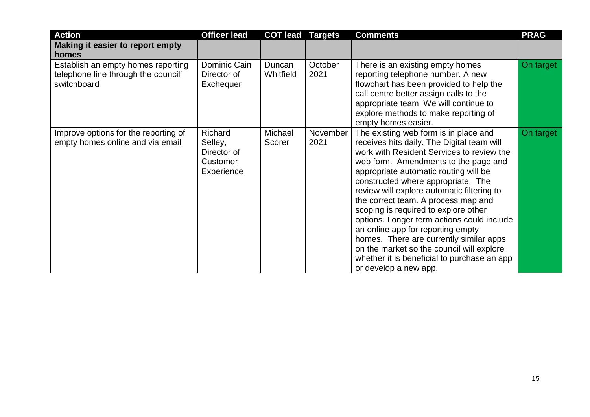| <b>Action</b>                                                                            | <b>Officer lead</b>                                         | <b>COT lead</b>     | <b>Targets</b>   | <b>Comments</b>                                                                                                                                                                                                                                                                                                                                                                                                                                                                                                                                                                                                                         | <b>PRAG</b> |
|------------------------------------------------------------------------------------------|-------------------------------------------------------------|---------------------|------------------|-----------------------------------------------------------------------------------------------------------------------------------------------------------------------------------------------------------------------------------------------------------------------------------------------------------------------------------------------------------------------------------------------------------------------------------------------------------------------------------------------------------------------------------------------------------------------------------------------------------------------------------------|-------------|
| Making it easier to report empty<br>homes                                                |                                                             |                     |                  |                                                                                                                                                                                                                                                                                                                                                                                                                                                                                                                                                                                                                                         |             |
| Establish an empty homes reporting<br>telephone line through the council'<br>switchboard | Dominic Cain<br>Director of<br>Exchequer                    | Duncan<br>Whitfield | October<br>2021  | There is an existing empty homes<br>reporting telephone number. A new<br>flowchart has been provided to help the<br>call centre better assign calls to the<br>appropriate team. We will continue to<br>explore methods to make reporting of<br>empty homes easier.                                                                                                                                                                                                                                                                                                                                                                      | On target   |
| Improve options for the reporting of<br>empty homes online and via email                 | Richard<br>Selley,<br>Director of<br>Customer<br>Experience | Michael<br>Scorer   | November<br>2021 | The existing web form is in place and<br>receives hits daily. The Digital team will<br>work with Resident Services to review the<br>web form. Amendments to the page and<br>appropriate automatic routing will be<br>constructed where appropriate. The<br>review will explore automatic filtering to<br>the correct team. A process map and<br>scoping is required to explore other<br>options. Longer term actions could include<br>an online app for reporting empty<br>homes. There are currently similar apps<br>on the market so the council will explore<br>whether it is beneficial to purchase an app<br>or develop a new app. | On target   |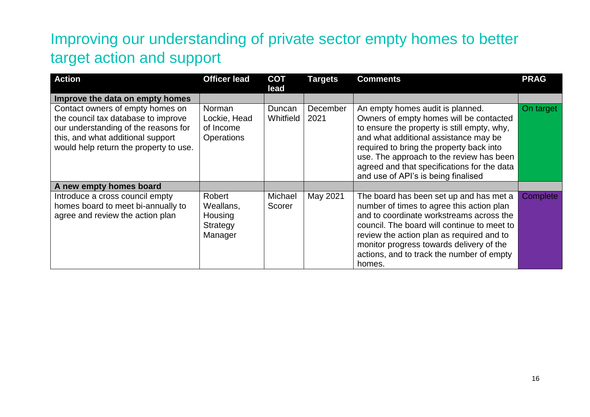## Improving our understanding of private sector empty homes to better target action and support

| <b>Action</b>                                                                                                                                                                                  | <b>Officer lead</b>                                          | <b>COT</b><br>lead  | <b>Targets</b>   | <b>Comments</b>                                                                                                                                                                                                                                                                                                                                   | <b>PRAG</b> |
|------------------------------------------------------------------------------------------------------------------------------------------------------------------------------------------------|--------------------------------------------------------------|---------------------|------------------|---------------------------------------------------------------------------------------------------------------------------------------------------------------------------------------------------------------------------------------------------------------------------------------------------------------------------------------------------|-------------|
| Improve the data on empty homes                                                                                                                                                                |                                                              |                     |                  |                                                                                                                                                                                                                                                                                                                                                   |             |
| Contact owners of empty homes on<br>the council tax database to improve<br>our understanding of the reasons for<br>this, and what additional support<br>would help return the property to use. | <b>Norman</b><br>Lockie, Head<br>of Income<br>Operations     | Duncan<br>Whitfield | December<br>2021 | An empty homes audit is planned.<br>Owners of empty homes will be contacted<br>to ensure the property is still empty, why,<br>and what additional assistance may be<br>required to bring the property back into<br>use. The approach to the review has been<br>agreed and that specifications for the data<br>and use of API's is being finalised | On target   |
| A new empty homes board                                                                                                                                                                        |                                                              |                     |                  |                                                                                                                                                                                                                                                                                                                                                   |             |
| Introduce a cross council empty<br>homes board to meet bi-annually to<br>agree and review the action plan                                                                                      | <b>Robert</b><br>Weallans,<br>Housing<br>Strategy<br>Manager | Michael<br>Scorer   | May 2021         | The board has been set up and has met a<br>number of times to agree this action plan<br>and to coordinate workstreams across the<br>council. The board will continue to meet to<br>review the action plan as required and to<br>monitor progress towards delivery of the<br>actions, and to track the number of empty<br>homes.                   | Complete    |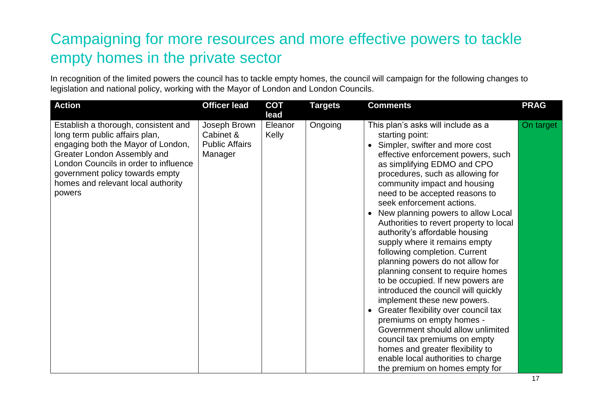## Campaigning for more resources and more effective powers to tackle empty homes in the private sector

In recognition of the limited powers the council has to tackle empty homes, the council will campaign for the following changes to legislation and national policy, working with the Mayor of London and London Councils.

| <b>Action</b>                                                                                                                                                                                                                                                           | <b>Officer lead</b>                                           | <b>COT</b><br>lead | <b>Targets</b> | <b>Comments</b>                                                                                                                                                                                                                                                                                                                                                                                                                                                                                                                                                                                                                                                                                                                                                                                                                                                                                                                 | <b>PRAG</b> |
|-------------------------------------------------------------------------------------------------------------------------------------------------------------------------------------------------------------------------------------------------------------------------|---------------------------------------------------------------|--------------------|----------------|---------------------------------------------------------------------------------------------------------------------------------------------------------------------------------------------------------------------------------------------------------------------------------------------------------------------------------------------------------------------------------------------------------------------------------------------------------------------------------------------------------------------------------------------------------------------------------------------------------------------------------------------------------------------------------------------------------------------------------------------------------------------------------------------------------------------------------------------------------------------------------------------------------------------------------|-------------|
| Establish a thorough, consistent and<br>long term public affairs plan,<br>engaging both the Mayor of London,<br>Greater London Assembly and<br>London Councils in order to influence<br>government policy towards empty<br>homes and relevant local authority<br>powers | Joseph Brown<br>Cabinet &<br><b>Public Affairs</b><br>Manager | Eleanor<br>Kelly   | Ongoing        | This plan's asks will include as a<br>starting point:<br>Simpler, swifter and more cost<br>effective enforcement powers, such<br>as simplifying EDMO and CPO<br>procedures, such as allowing for<br>community impact and housing<br>need to be accepted reasons to<br>seek enforcement actions.<br>New planning powers to allow Local<br>Authorities to revert property to local<br>authority's affordable housing<br>supply where it remains empty<br>following completion. Current<br>planning powers do not allow for<br>planning consent to require homes<br>to be occupied. If new powers are<br>introduced the council will quickly<br>implement these new powers.<br>Greater flexibility over council tax<br>premiums on empty homes -<br>Government should allow unlimited<br>council tax premiums on empty<br>homes and greater flexibility to<br>enable local authorities to charge<br>the premium on homes empty for | On target   |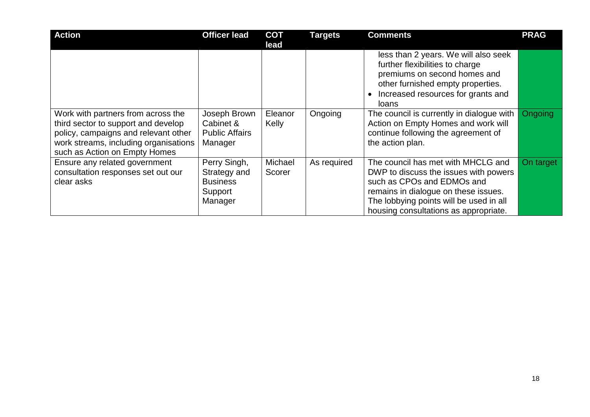| <b>Action</b>                                                                                                                                                                               | <b>Officer lead</b>                                                   | <b>COT</b><br>lead | <b>Targets</b> | <b>Comments</b>                                                                                                                                                                                                                       | <b>PRAG</b> |
|---------------------------------------------------------------------------------------------------------------------------------------------------------------------------------------------|-----------------------------------------------------------------------|--------------------|----------------|---------------------------------------------------------------------------------------------------------------------------------------------------------------------------------------------------------------------------------------|-------------|
|                                                                                                                                                                                             |                                                                       |                    |                | less than 2 years. We will also seek<br>further flexibilities to charge<br>premiums on second homes and<br>other furnished empty properties.<br>Increased resources for grants and<br>loans                                           |             |
| Work with partners from across the<br>third sector to support and develop<br>policy, campaigns and relevant other<br>work streams, including organisations<br>such as Action on Empty Homes | Joseph Brown<br>Cabinet &<br><b>Public Affairs</b><br>Manager         | Eleanor<br>Kelly   | Ongoing        | The council is currently in dialogue with<br>Action on Empty Homes and work will<br>continue following the agreement of<br>the action plan.                                                                                           | Ongoing     |
| Ensure any related government<br>consultation responses set out our<br>clear asks                                                                                                           | Perry Singh,<br>Strategy and<br><b>Business</b><br>Support<br>Manager | Michael<br>Scorer  | As required    | The council has met with MHCLG and<br>DWP to discuss the issues with powers<br>such as CPOs and EDMOs and<br>remains in dialogue on these issues.<br>The lobbying points will be used in all<br>housing consultations as appropriate. | On target   |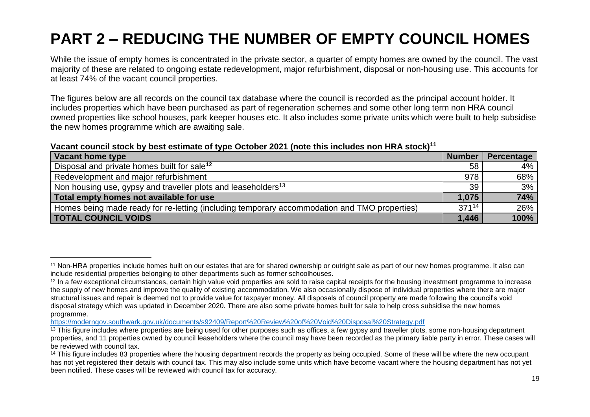## **PART 2 – REDUCING THE NUMBER OF EMPTY COUNCIL HOMES**

While the issue of empty homes is concentrated in the private sector, a quarter of empty homes are owned by the council. The vast majority of these are related to ongoing estate redevelopment, major refurbishment, disposal or non-housing use. This accounts for at least 74% of the vacant council properties.

The figures below are all records on the council tax database where the council is recorded as the principal account holder. It includes properties which have been purchased as part of regeneration schemes and some other long term non HRA council owned properties like school houses, park keeper houses etc. It also includes some private units which were built to help subsidise the new homes programme which are awaiting sale.

#### **Vacant council stock by best estimate of type October 2021 (note this includes non HRA stock)<sup>11</sup>**

| Vacant home type                                                                             | <b>Number</b> | Percentage |
|----------------------------------------------------------------------------------------------|---------------|------------|
| Disposal and private homes built for sale <sup>12</sup>                                      | 58            | $4\%$      |
| Redevelopment and major refurbishment                                                        | 978           | 68%        |
| Non housing use, gypsy and traveller plots and leaseholders <sup>13</sup>                    | 39            | 3%         |
| Total empty homes not available for use                                                      | 1,075         | 74%        |
| Homes being made ready for re-letting (including temporary accommodation and TMO properties) | $371^{14}$    | 26%        |
| <b>TOTAL COUNCIL VOIDS</b>                                                                   | 1,446         | 100%       |

<sup>&</sup>lt;sup>11</sup> Non-HRA properties include homes built on our estates that are for shared ownership or outright sale as part of our new homes programme. It also can include residential properties belonging to other departments such as former schoolhouses.

<sup>&</sup>lt;sup>12</sup> In a few exceptional circumstances, certain high value void properties are sold to raise capital receipts for the housing investment programme to increase the supply of new homes and improve the quality of existing accommodation. We also occasionally dispose of individual properties where there are major structural issues and repair is deemed not to provide value for taxpayer money. All disposals of council property are made following the council's void disposal strategy which was updated in December 2020. There are also some private homes built for sale to help cross subsidise the new homes programme.

<https://moderngov.southwark.gov.uk/documents/s92409/Report%20Review%20of%20Void%20Disposal%20Strategy.pdf>

<sup>&</sup>lt;sup>13</sup> This figure includes where properties are being used for other purposes such as offices, a few gypsy and traveller plots, some non-housing department properties, and 11 properties owned by council leaseholders where the council may have been recorded as the primary liable party in error. These cases will be reviewed with council tax.

<sup>&</sup>lt;sup>14</sup> This figure includes 83 properties where the housing department records the property as being occupied. Some of these will be where the new occupant has not yet registered their details with council tax. This may also include some units which have become vacant where the housing department has not yet been notified. These cases will be reviewed with council tax for accuracy.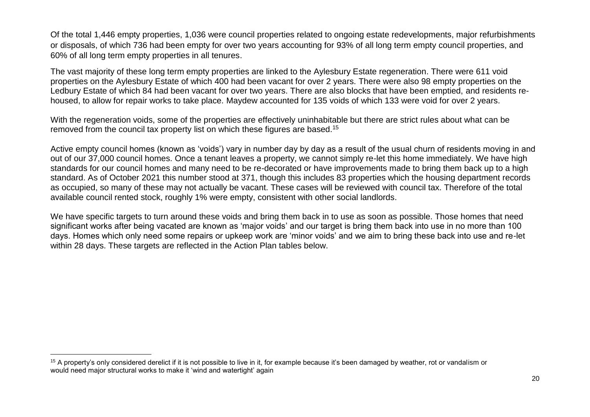Of the total 1,446 empty properties, 1,036 were council properties related to ongoing estate redevelopments, major refurbishments or disposals, of which 736 had been empty for over two years accounting for 93% of all long term empty council properties, and 60% of all long term empty properties in all tenures.

The vast majority of these long term empty properties are linked to the Aylesbury Estate regeneration. There were 611 void properties on the Aylesbury Estate of which 400 had been vacant for over 2 years. There were also 98 empty properties on the Ledbury Estate of which 84 had been vacant for over two years. There are also blocks that have been emptied, and residents rehoused, to allow for repair works to take place. Maydew accounted for 135 voids of which 133 were void for over 2 years.

With the regeneration voids, some of the properties are effectively uninhabitable but there are strict rules about what can be removed from the council tax property list on which these figures are based.<sup>15</sup>

Active empty council homes (known as 'voids') vary in number day by day as a result of the usual churn of residents moving in and out of our 37,000 council homes. Once a tenant leaves a property, we cannot simply re-let this home immediately. We have high standards for our council homes and many need to be re-decorated or have improvements made to bring them back up to a high standard. As of October 2021 this number stood at 371, though this includes 83 properties which the housing department records as occupied, so many of these may not actually be vacant. These cases will be reviewed with council tax. Therefore of the total available council rented stock, roughly 1% were empty, consistent with other social landlords.

We have specific targets to turn around these voids and bring them back in to use as soon as possible. Those homes that need significant works after being vacated are known as 'major voids' and our target is bring them back into use in no more than 100 days. Homes which only need some repairs or upkeep work are 'minor voids' and we aim to bring these back into use and re-let within 28 days. These targets are reflected in the Action Plan tables below.

<sup>&</sup>lt;sup>15</sup> A property's only considered derelict if it is not possible to live in it, for example because it's been damaged by weather, rot or vandalism or would need major structural works to make it 'wind and watertight' again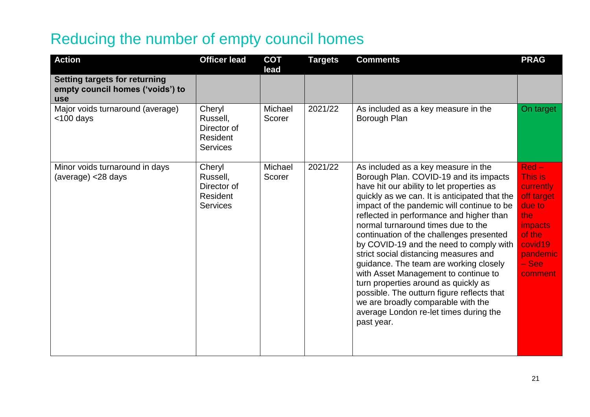#### Reducing the number of empty council homes

| <b>Action</b>                                                                          | <b>Officer lead</b>                                              | <b>COT</b><br>lead | <b>Targets</b> | <b>Comments</b>                                                                                                                                                                                                                                                                                                                                                                                                                                                                                                                                                                                                                                                                                                   | <b>PRAG</b>                                                                                                                            |
|----------------------------------------------------------------------------------------|------------------------------------------------------------------|--------------------|----------------|-------------------------------------------------------------------------------------------------------------------------------------------------------------------------------------------------------------------------------------------------------------------------------------------------------------------------------------------------------------------------------------------------------------------------------------------------------------------------------------------------------------------------------------------------------------------------------------------------------------------------------------------------------------------------------------------------------------------|----------------------------------------------------------------------------------------------------------------------------------------|
| <b>Setting targets for returning</b><br>empty council homes ('voids') to<br><b>use</b> |                                                                  |                    |                |                                                                                                                                                                                                                                                                                                                                                                                                                                                                                                                                                                                                                                                                                                                   |                                                                                                                                        |
| Major voids turnaround (average)<br>$<$ 100 days                                       | Cheryl<br>Russell,<br>Director of<br>Resident<br><b>Services</b> | Michael<br>Scorer  | 2021/22        | As included as a key measure in the<br>Borough Plan                                                                                                                                                                                                                                                                                                                                                                                                                                                                                                                                                                                                                                                               | On target                                                                                                                              |
| Minor voids turnaround in days<br>(average) <28 days                                   | Cheryl<br>Russell,<br>Director of<br>Resident<br><b>Services</b> | Michael<br>Scorer  | 2021/22        | As included as a key measure in the<br>Borough Plan. COVID-19 and its impacts<br>have hit our ability to let properties as<br>quickly as we can. It is anticipated that the<br>impact of the pandemic will continue to be<br>reflected in performance and higher than<br>normal turnaround times due to the<br>continuation of the challenges presented<br>by COVID-19 and the need to comply with<br>strict social distancing measures and<br>guidance. The team are working closely<br>with Asset Management to continue to<br>turn properties around as quickly as<br>possible. The outturn figure reflects that<br>we are broadly comparable with the<br>average London re-let times during the<br>past year. | $Red-$<br>This is<br>currently<br>off target<br>due to<br>the<br><i>impacts</i><br>of the<br>covid19<br>pandemic<br>$-$ See<br>comment |